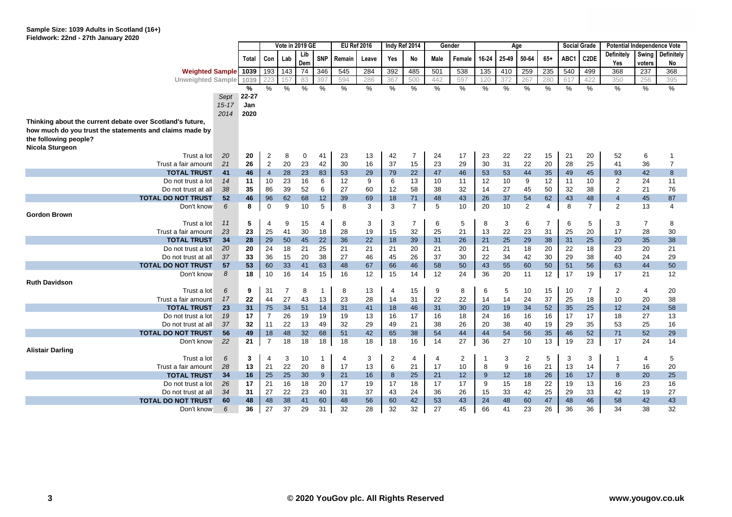#### **Sample Size: 1039 Adults in Scotland (16+) Fieldwork: 22nd - 27th January 2020**

|                                                           |           |       | Vote in 2019 GE<br>Lib |      | <b>EU Ref 2016</b> |               | Indy Ref 2014  |       |                | Gender         | Age              |                |             |       | <b>Social Grade</b> |                | <b>Potential Independence Vote</b> |                   |                |                |                |
|-----------------------------------------------------------|-----------|-------|------------------------|------|--------------------|---------------|----------------|-------|----------------|----------------|------------------|----------------|-------------|-------|---------------------|----------------|------------------------------------|-------------------|----------------|----------------|----------------|
|                                                           |           |       |                        |      |                    |               |                |       |                |                |                  |                |             |       |                     |                |                                    |                   | Definitely     | Swing          | Definitely     |
|                                                           |           | Total | Con                    | Lab  | Dem                | <b>SNP</b>    | Remain         | Leave | Yes            | No             | Male             | Female         | 16-24       | 25-49 | 50-64               | $65+$          | ABC1                               | C <sub>2</sub> DE | Yes            | voters         | No             |
| <b>Weighted Sample</b>                                    |           | 1039  | 193                    | 143  | 74                 | 346           | 545            | 284   | 392            | 485            | 501              | 538            | 135         | 410   | 259                 | 235            | 540                                | 499               | 368            | 237            | 368            |
| <b>Unweighted Sample</b>                                  |           | 1039  |                        | 15   | 83                 | 39.           | 594            | 286   | 367            | 500            | 442              | 597            | 120         | 372   | 267                 | 280            | 617                                | 422               | 350            | 256            | 395            |
|                                                           |           | %     | %                      | $\%$ | %                  | $\frac{0}{0}$ | $\%$           | $\%$  | %              | %              | $\%$             | $\%$           | $\%$        | %     | $\%$                | $\%$           | $\frac{0}{0}$                      | %                 | $\%$           | $\%$           | $\frac{1}{2}$  |
|                                                           | Sept      | 22-27 |                        |      |                    |               |                |       |                |                |                  |                |             |       |                     |                |                                    |                   |                |                |                |
|                                                           | $15 - 17$ | Jan   |                        |      |                    |               |                |       |                |                |                  |                |             |       |                     |                |                                    |                   |                |                |                |
|                                                           | 2014      | 2020  |                        |      |                    |               |                |       |                |                |                  |                |             |       |                     |                |                                    |                   |                |                |                |
| Thinking about the current debate over Scotland's future, |           |       |                        |      |                    |               |                |       |                |                |                  |                |             |       |                     |                |                                    |                   |                |                |                |
| how much do you trust the statements and claims made by   |           |       |                        |      |                    |               |                |       |                |                |                  |                |             |       |                     |                |                                    |                   |                |                |                |
| the following people?                                     |           |       |                        |      |                    |               |                |       |                |                |                  |                |             |       |                     |                |                                    |                   |                |                |                |
| Nicola Sturgeon                                           |           |       |                        |      |                    |               |                |       |                |                |                  |                |             |       |                     |                |                                    |                   |                |                |                |
| Trust a lot                                               | 20        | 20    | $\overline{c}$         | 8    | 0                  | 41            | 23             | 13    | 42             | $\overline{7}$ | 24               | 17             | 23          | 22    | 22                  | 15             | 21                                 | 20                | 52             | 6              |                |
| Trust a fair amount                                       | 21        | 26    | 2                      | 20   | 23                 | 42            | 30             | 16    | 37             | 15             | 23               | 29             | 30          | 31    | 22                  | 20             | 28                                 | 25                | 41             | 36             | $\overline{7}$ |
| <b>TOTAL TRUST</b>                                        | 41        | 46    | $\overline{4}$         | 28   | 23                 | 83            | 53             | 29    | 79             | 22             | 47               | 46             | 53          | 53    | 44                  | 35             | 49                                 | 45                | 93             | 42             | 8              |
| Do not trust a lot                                        | 14        | 11    | 10                     | 23   | 16                 | 6             | 12             | 9     | 6              | 13             | 10               | 11             | 12          | 10    | 9                   | 12             | 11                                 | 10                | $\overline{2}$ | 24             | 11             |
| Do not trust at all                                       | 38        | 35    | 86                     | 39   | 52                 | 6             | 27             | 60    | 12             | 58             | 38               | 32             | 14          | 27    | 45                  | 50             | 32                                 | 38                | $\overline{2}$ | 21             | 76             |
| <b>TOTAL DO NOT TRUST</b>                                 | 52        | 46    | 96                     | 62   | 68                 | 12            | 39             | 69    | 18             | 71             | 48               | 43             | 26          | 37    | 54                  | 62             | 43                                 | 48                | $\overline{4}$ | 45             | 87             |
| Don't know                                                | 6         | 8     | $\mathbf 0$            | 9    | 10                 | 5             | 8              | 3     | 3              | $\overline{7}$ | 5                | 10             | 20          | 10    | $\overline{2}$      | $\overline{4}$ | 8                                  | $\overline{7}$    | $\overline{2}$ | 13             | $\overline{4}$ |
| <b>Gordon Brown</b>                                       |           |       |                        |      |                    |               |                |       |                |                |                  |                |             |       |                     |                |                                    |                   |                |                |                |
| Trust a lot                                               | 11        | 5     | 4                      | 9    | 15                 | 4             | 8              | 3     | 3              | $\overline{7}$ | 6                | 5              | 8           | 3     | 6                   | $\overline{7}$ | 6                                  | 5                 | 3              | $\overline{7}$ | 8              |
| Trust a fair amount                                       | 23        | 23    | 25                     | 41   | 30                 | 18            | 28             | 19    | 15             | 32             | 25               | 21             | 13          | 22    | 23                  | 31             | 25                                 | 20                | 17             | 28             | 30             |
| <b>TOTAL TRUST</b>                                        | 34        | 28    | 29                     | 50   | 45                 | 22            | 36             | 22    | 18             | 39             | 31               | 26             | 21          | 25    | 29                  | 38             | 31                                 | 25                | 20             | 35             | 38             |
| Do not trust a lot                                        | 20        | 20    | 24                     | 18   | 21                 | 25            | 21             | 21    | 21             | 20             | 21               | 20             | 21          | 21    | 18                  | 20             | 22                                 | 18                | 23             | 20             | 21             |
| Do not trust at all                                       | 37        | 33    | 36                     | 15   | 20                 | 38            | 27             | 46    | 45             | 26             | 37               | 30             | 22          | 34    | 42                  | 30             | 29                                 | 38                | 40             | 24             | 29             |
| <b>TOTAL DO NOT TRUST</b>                                 | 57        | 53    | 60                     | 33   | 41                 | 63            | 48             | 67    | 66             | 46             | 58               | 50             | 43          | 55    | 60                  | 50             | 51                                 | 56                | 63             | 44             | 50             |
| Don't know                                                | 8         | 18    | 10                     | 16   | 14                 | 15            | 16             | 12    | 15             | 14             | 12               | 24             | 36          | 20    | 11                  | 12             | 17                                 | 19                | 17             | 21             | 12             |
| <b>Ruth Davidson</b>                                      |           |       |                        |      |                    |               |                |       |                |                |                  |                |             |       |                     |                |                                    |                   |                |                |                |
| Trust a lot                                               | 6         | 9     | 31                     | 7    | 8                  | 1             | 8              | 13    | $\overline{4}$ | 15             | 9                | 8              | 6           | 5     | 10                  | 15             | 10                                 | $\overline{7}$    | $\overline{2}$ | $\overline{4}$ | 20             |
| Trust a fair amount                                       | 17        | 22    | 44                     | 27   | 43                 | 13            | 23             | 28    | 14             | 31             | 22               | 22             | 14          | 14    | 24                  | 37             | 25                                 | 18                | 10             | 20             | 38             |
| <b>TOTAL TRUST</b>                                        | 23        | 31    | 75                     | 34   | 51                 | 14            | 31             | 41    | 18             | 46             | 31               | 30             | 20          | 19    | 34                  | 52             | 35                                 | 25                | 12             | 24             | 58             |
| Do not trust a lot                                        | 19        | 17    | $\overline{7}$         | 26   | 19                 | 19            | 19             | 13    | 16             | 17             | 16               | 18             | 24          | 16    | 16                  | 16             | 17                                 | 17                | 18             | 27             | 13             |
| Do not trust at all                                       | 37        | 32    | 11                     | 22   | 13                 | 49            | 32             | 29    | 49             | 21             | 38               | 26             | 20          | 38    | 40                  | 19             | 29                                 | 35                | 53             | 25             | 16             |
| <b>TOTAL DO NOT TRUST</b>                                 | 56        | 49    | 18                     | 48   | 32                 | 68            | 51             | 42    | 65             | 38             | 54               | 44             | 44          | 54    | 56                  | 35             | 46                                 | 52                | 71             | 52             | 29             |
| Don't know                                                | 22        | 21    | $\overline{7}$         | 18   | 18                 | 18            | 18             | 18    | 18             | 16             | 14               | 27             | 36          | 27    | 10                  | 13             | 19                                 | 23                | 17             | 24             | 14             |
| <b>Alistair Darling</b>                                   |           |       |                        |      |                    |               |                |       |                |                |                  |                |             |       |                     |                |                                    |                   |                |                |                |
| Trust a lot                                               | 6         | 3     | 4                      | 3    | 10                 | 1             | $\overline{4}$ | 3     | $\overline{2}$ | 4              | $\boldsymbol{4}$ | $\overline{2}$ | $\mathbf 1$ | 3     | 2                   | 5              | 3                                  | 3                 | 1              | 4              | 5              |
| Trust a fair amount                                       | 28        | 13    | 21                     | 22   | 20                 | 8             | 17             | 13    | 6              | 21             | 17               | 10             | 8           | 9     | 16                  | 21             | 13                                 | 14                | $\overline{7}$ | 16             | 20             |
| <b>TOTAL TRUST</b>                                        | 34        | 16    | 25                     | 25   | 30                 | 9             | 21             | 16    | 8              | 25             | 21               | 12             | 9           | 12    | 18                  | 26             | 16                                 | 17                | 8              | 20             | 25             |
| Do not trust a lot                                        | 26        | 17    | 21                     | 16   | 18                 | 20            | 17             | 19    | 17             | 18             | 17               | 17             | 9           | 15    | 18                  | 22             | 19                                 | 13                | 16             | 23             | 16             |
| Do not trust at all                                       | 34        | 31    | 27                     | 22   | 23                 | 40            | 31             | 37    | 43             | 24             | 36               | 26             | 15          | 33    | 42                  | 25             | 29                                 | 33                | 42             | 19             | 27             |
| <b>TOTAL DO NOT TRUST</b>                                 | 60        | 48    | 48                     | 38   | 41                 | 60            | 48             | 56    | 60             | 42             | 53               | 43             | 24          | 48    | 60                  | 47             | 48                                 | 46                | 58             | 42             | 43             |
| Don't know                                                | 6         | 36    | 27                     | 37   | 29                 | 31            | 32             | 28    | 32             | 32             | 27               | 45             | 66          | 41    | 23                  | 26             | 36                                 | 36                | 34             | 38             | 32             |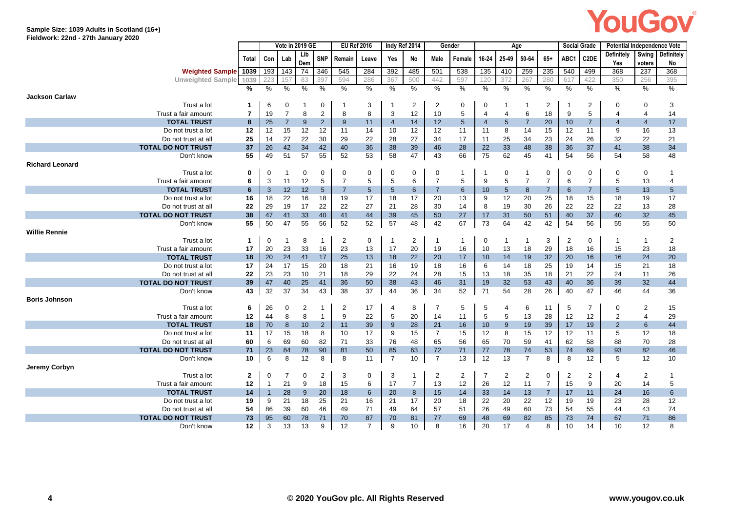### **Sample Size: 1039 Adults in Scotland (16+) Fieldwork: 22nd - 27th January 2020**

|                        |                           |                | Vote in 2019 GE |                | <b>EU Ref 2016</b> |                | Indy Ref 2014  |                 | Gender         |                   |                |                | Age            |                |                       | <b>Social Grade</b> |                | <b>Potential Independence Vote</b> |                   |                         |                 |
|------------------------|---------------------------|----------------|-----------------|----------------|--------------------|----------------|----------------|-----------------|----------------|-------------------|----------------|----------------|----------------|----------------|-----------------------|---------------------|----------------|------------------------------------|-------------------|-------------------------|-----------------|
|                        |                           | Total          | Con             | Lab            | Lib                | <b>SNP</b>     | Remain         | Leave           | Yes            | No                | Male           | Female         | 16-24          | 25-49          | 50-64                 | $65+$               | ABC1           | C <sub>2</sub> DE                  | <b>Definitely</b> | Swing                   | Definitely      |
|                        |                           |                |                 |                | Den                |                |                |                 |                |                   |                |                |                |                |                       |                     |                |                                    | Yes               | voters                  | No              |
|                        | <b>Weighted Sample</b>    | 1039           | 193             | 143            | 74                 | 346            | 545            | 284             | 392            | 485               | 501            | 538            | 135            | 410            | 259                   | 235                 | 540            | 499                                | 368               | 237                     | 368             |
|                        | <b>Unweighted Sample</b>  | 1039           |                 |                | 83                 |                | 594            | 286             | 367            | 500               | 442            | 597            | 120            | 372            | 267                   | 280                 | 617            | 422                                | 350               | 256                     | 395             |
|                        |                           | %              | %               | $\frac{0}{6}$  | $\%$               | %              | $\%$           | $\frac{0}{6}$   | $\%$           | $\%$              | $\frac{9}{6}$  | $\frac{0}{0}$  | $\frac{9}{6}$  | $\%$           | $\%$                  | $\frac{0}{0}$       | $\%$           | $\frac{0}{6}$                      | $\%$              | $\%$                    | $\frac{9}{6}$   |
| <b>Jackson Carlaw</b>  |                           |                |                 |                |                    |                |                |                 |                |                   |                |                |                |                |                       |                     |                |                                    |                   |                         |                 |
|                        | Trust a lot               | 1              | 6               | 0              |                    | 0              | $\overline{1}$ | 3               | $\mathbf 1$    | $\overline{2}$    | $\overline{2}$ | $\mathbf 0$    | 0              | -1             | -1                    | 2                   | $\mathbf 1$    | 2                                  | $\Omega$          | 0                       | 3               |
|                        | Trust a fair amount       | $\overline{7}$ | 19              | $\overline{7}$ | 8                  | $\overline{2}$ | 8              | 8               | 3              | 12                | 10             | 5              | $\overline{4}$ | $\overline{4}$ | 6                     | 18                  | 9              | 5                                  | 4                 | $\overline{4}$          | 14              |
|                        | <b>TOTAL TRUST</b>        | 8              | 25              | $\overline{7}$ | 9                  | $\overline{2}$ | 9              | 11              | $\overline{4}$ | 14                | 12             | 5              | 4              | $\sqrt{5}$     | $\overline{7}$        | 20                  | 10             | 7                                  | $\overline{4}$    | 4                       | 17              |
|                        | Do not trust a lot        | 12             | 12              | 15             | 12                 | 12             | 11             | 14              | 10             | $12 \overline{ }$ | 12             | 11             | 11             | 8              | 14                    | 15                  | 12             | 11                                 | 9                 | 16                      | 13              |
|                        | Do not trust at all       | 25             | 14              | 27             | 22                 | 30             | 29             | 22              | 28             | 27                | 34             | 17             | 11             | 25             | 34                    | 23                  | 24             | 26                                 | 32                | 22                      | 21              |
|                        | <b>TOTAL DO NOT TRUST</b> | 37             | 26              | 42             | 34                 | 42             | 40             | 36              | 38             | 39                | 46             | 28             | 22             | 33             | 48                    | 38                  | 36             | 37                                 | 41                | 38                      | 34              |
|                        | Don't know                | 55             | 49              | 51             | 57                 | 55             | 52             | 53              | 58             | 47                | 43             | 66             | 75             | 62             | 45                    | 41                  | 54             | 56                                 | 54                | 58                      | 48              |
| <b>Richard Leonard</b> |                           |                |                 |                |                    |                |                |                 |                |                   |                |                |                |                |                       |                     |                |                                    |                   |                         |                 |
|                        | Trust a lot               | 0              | $\Omega$        | -1             | 0                  | 0              | 0              | 0               | $\Omega$       | 0                 | $\mathbf 0$    | $\mathbf 1$    |                | 0              | -1                    | 0                   | $\Omega$       | 0                                  | $\Omega$          | 0                       |                 |
|                        | Trust a fair amount       | 6              | 3               | 11             | 12                 | 5              | $\overline{7}$ | 5               | 5              | 6                 | $\overline{7}$ | 5              | 9              | 5              | $\overline{7}$        | $\overline{7}$      | 6              | $\overline{7}$                     | 5                 | 13                      | 4               |
|                        | <b>TOTAL TRUST</b>        | 6              | 3               | 12             | 12                 | 5              | $\overline{7}$ | $5\phantom{.0}$ | 5              | 6                 | $\overline{7}$ | 6              | 10             | 5              | 8                     | $\overline{7}$      | 6              | $\overline{7}$                     | 5                 | 13                      | $5\overline{)}$ |
|                        | Do not trust a lot        | 16             | 18              | 22             | 16                 | 18             | 19             | 17              | 18             | 17                | 20             | 13             | 9              | 12             | 20                    | 25                  | 18             | 15                                 | 18                | 19                      | 17              |
|                        | Do not trust at all       | 22             | 29              | 19             | 17                 | 22             | 22             | 27              | 21             | 28                | 30             | 14             | 8              | 19             | 30                    | 26                  | 22             | 22                                 | 22                | 13                      | 28              |
|                        | <b>TOTAL DO NOT TRUST</b> | 38             | 47              | 41             | 33                 | 40             | 41             | 44              | 39             | 45                | 50             | 27             | 17             | 31             | 50                    | 51                  | 40             | 37                                 | 40                | 32                      | 45              |
|                        | Don't know                | 55             | 50              | 47             | 55                 | 56             | 52             | 52              | 57             | 48                | 42             | 67             | 73             | 64             | 42                    | 42                  | 54             | 56                                 | 55                | 55                      | 50              |
| <b>Willie Rennie</b>   |                           |                |                 |                |                    |                |                |                 |                |                   |                |                |                |                |                       |                     |                |                                    |                   |                         |                 |
|                        | Trust a lot               | 1              | 0               | -1             | 8                  | $\mathbf{1}$   | $\overline{2}$ | 0               | $\overline{1}$ | $\overline{2}$    | $\overline{1}$ | $\overline{1}$ | 0              | $\mathbf 1$    | -1                    | 3                   | 2              | 0                                  | $\mathbf 1$       | $\mathbf{1}$            | 2               |
|                        | Trust a fair amount       | 17             | 20              | 23             | 33                 | 16             | 23             | 13              | 17             | 20                | 19             | 16             | 10             | 13             | 18                    | 29                  | 18             | 16                                 | 15                | 23                      | 18              |
|                        | <b>TOTAL TRUST</b>        | 18             | 20              | 24             | 41                 | 17             | 25             | 13              | 18             | 22                | 20             | 17             | 10             | 14             | 19                    | 32                  | 20             | 16                                 | 16                | 24                      | 20              |
|                        | Do not trust a lot        | 17             | 24              | 17             | 15                 | 20             | 18             | 21              | 16             | 19                | 18             | 16             | 6              | 14             | 18                    | 25                  | 19             | 14                                 | 15                | 21                      | 18              |
|                        | Do not trust at all       | 22             | 23              | 23             | 10                 | 21             | 18             | 29              | 22             | 24                | 28             | 15             | 13             | 18             | 35                    | 18                  | 21             | 22                                 | 24                | 11                      | 26              |
|                        | <b>TOTAL DO NOT TRUST</b> | 39             | 47              | 40             | 25                 | 41             | 36             | 50              | 38             | 43                | 46             | 31             | 19             | 32             | 53                    | 43                  | 40             | 36                                 | 39                | 32                      | 44              |
|                        | Don't know                | 43             | 32              | 37             | 34                 | 43             | 38             | 37              | 44             | 36                | 34             | 52             | 71             | 54             | 28                    | 26                  | 40             | 47                                 | 46                | 44                      | 36              |
| <b>Boris Johnson</b>   |                           |                |                 |                |                    |                |                |                 |                |                   |                |                |                |                |                       |                     |                |                                    |                   |                         |                 |
|                        | Trust a lot               | 6              | 26              | 0              | $\overline{2}$     | $\mathbf{1}$   | 2              | 17              | $\overline{4}$ | 8                 | $\overline{7}$ | 5              | 5              | 4              | 6                     | 11                  | 5              | $\overline{7}$                     | $\Omega$          | $\overline{2}$          | 15              |
|                        | Trust a fair amount       | 12             | 44              | 8              | 8                  | $\mathbf{1}$   | 9              | 22              | 5              | 20                | 14             | 11             | 5              | 5              | 13                    | 28                  | 12             | 12                                 | $\overline{2}$    | $\overline{4}$          | 29              |
|                        | <b>TOTAL TRUST</b>        | 18             | 70              | 8              | 10                 | $\overline{2}$ | 11             | 39              | 9              | 28                | 21             | 16             | 10             | 9              | 19                    | 39                  | 17             | 19                                 | $\overline{2}$    | $6\phantom{1}$          | 44              |
|                        | Do not trust a lot        | 11             | 17              | 15             | 18                 | 8              | 10             | 17              | 9              | 15                | $\overline{7}$ | 15             | 12             | 8              | 15                    | 12                  | 12             | 11                                 | 5                 | 12                      | 18              |
|                        | Do not trust at all       | 60             | 6               | 69             | 60                 | 82             | 71             | 33              | 76             | 48                | 65             | 56             | 65             | 70             | 59                    | 41                  | 62             | 58                                 | 88                | 70                      | 28              |
|                        | <b>TOTAL DO NOT TRUST</b> | 71             | 23              | 84             | 78                 | 90             | 81             | 50              | 85             | 63                | 72             | 71             | 77             | 78             | 74                    | 53                  | 74             | 69                                 | 93                | 82                      | 46              |
|                        | Don't know                | 10             | 6               | 8              | 12                 | 8              | 8              | 11              | $\overline{7}$ | 10                | $\overline{7}$ | 13             | 12             | 13             | $\overline{7}$        | 8                   | 8              | 12                                 | 5                 | 12                      | 10              |
| Jeremy Corbyn          |                           |                |                 |                |                    |                |                |                 |                |                   |                |                |                |                |                       |                     |                |                                    |                   |                         |                 |
|                        | Trust a lot               | $\mathbf{2}$   | $\mathbf 0$     | 7              | 0                  | $\overline{c}$ | 3              | 0               | 3              | 1                 | $\overline{2}$ | $\overline{2}$ | 7              | $\overline{2}$ | $\overline{c}$        | $\mathbf 0$         | $\overline{2}$ | 2                                  | 4                 | $\overline{\mathbf{c}}$ |                 |
|                        | Trust a fair amount       | 12             | -1              | 21             | 9                  | 18             | 15             | 6               | 17             | $\overline{7}$    | 13             | 12             | 26             | 12             | 11                    | $\overline{7}$      | 15             | 9                                  | 20                | 14                      | 5               |
|                        | <b>TOTAL TRUST</b>        | 14             | $\overline{1}$  | 28             | 9                  | 20             | 18             | $6\phantom{1}$  | 20             | 8                 | 15             | 14             | 33             | 14             | 13                    | $\overline{7}$      | 17             | 11                                 | 24                | 16                      | $6\phantom{1}$  |
|                        | Do not trust a lot        | 19             | 9               | 21             | 18                 | 25             | 21             | 16              | 21             | 17                | 20             | 18             | 22             | 20             | 22                    | 12                  | 19             | 19                                 | 23                | 28                      | 12              |
|                        | Do not trust at all       | 54             | 86              | 39             | 60                 | 46             | 49             | 71              | 49             | 64                | 57             | 51             | 26             | 49             | 60                    | 73                  | 54             | 55                                 | 44                | 43                      | 74              |
|                        | <b>TOTAL DO NOT TRUST</b> | 73             | 95              | 60             | 78                 | 71             | 70             | 87              | 70             | 81                | 77             | 69             | 48             | 69             | 82                    | 85                  | 73             | 74                                 | 67                | 71                      | 86              |
|                        | Don't know                | 12             | 3               | 13             | 13                 | 9              | 12             | $\overline{7}$  | 9              | 10 <sup>1</sup>   | 8              | 16             | 20             | 17             | $\boldsymbol{\Delta}$ | 8                   | 10             | 14                                 | 10 <sup>°</sup>   | 12                      | 8               |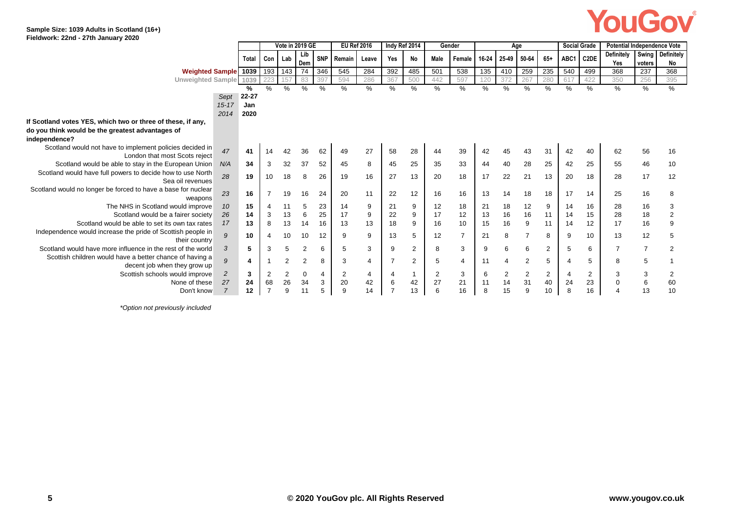#### **Sample Size: 1039 Adults in Scotland (16+) Fieldwork: 22nd - 27th January 2020**

|                                                               |                |              | Vote in 2019 GE |                |                | <b>EU Ref 2016</b> |                | Indy Ref 2014 |                |                | Gender | Age            |       |       |                | <b>Social Grade</b> |      | <b>Potential Independence Vote</b> |                   |                |                                       |
|---------------------------------------------------------------|----------------|--------------|-----------------|----------------|----------------|--------------------|----------------|---------------|----------------|----------------|--------|----------------|-------|-------|----------------|---------------------|------|------------------------------------|-------------------|----------------|---------------------------------------|
|                                                               |                | <b>Total</b> | Con             | Lab            | Lib            | <b>SNP</b>         | Remain         | Leave         | Yes            | No             | Male   | Female         | 16-24 | 25-49 | 50-64          | $65+$               | ABC1 | C <sub>2</sub> DE                  | <b>Definitely</b> | Swing          | Definitely                            |
|                                                               |                |              |                 |                | Dem            |                    |                |               |                |                |        |                |       |       |                |                     |      |                                    | Yes               | voters         | No                                    |
| <b>Weighted Sample</b>                                        |                | 1039         | 193             | 143            | 74             | 346                | 545            | 284           | 392            | 485            | 501    | 538            | 135   | 410   | 259            | 235                 | 540  | 499                                | 368               | 237            | 368                                   |
| Unweighted Sample                                             |                | 1039         | 223             | 157            | 83             | 397                | 594            | 286           | 367            | 500            | 442    | 597            | 120   | 372   | 267            | 280                 | 61   | 422                                | 350               | 256            | 395                                   |
|                                                               |                | ℅            | %               | %              | %              | %                  | %              | %             | %              | %              | %      | %              | %     | %     | %              | %                   | %    | %                                  | %                 | $\%$           | $\%$                                  |
|                                                               | Sept           | 22-27        |                 |                |                |                    |                |               |                |                |        |                |       |       |                |                     |      |                                    |                   |                |                                       |
|                                                               | $15 - 17$      | Jan          |                 |                |                |                    |                |               |                |                |        |                |       |       |                |                     |      |                                    |                   |                |                                       |
|                                                               | 2014           | 2020         |                 |                |                |                    |                |               |                |                |        |                |       |       |                |                     |      |                                    |                   |                |                                       |
| If Scotland votes YES, which two or three of these, if any,   |                |              |                 |                |                |                    |                |               |                |                |        |                |       |       |                |                     |      |                                    |                   |                |                                       |
| do you think would be the greatest advantages of              |                |              |                 |                |                |                    |                |               |                |                |        |                |       |       |                |                     |      |                                    |                   |                |                                       |
| independence?                                                 |                |              |                 |                |                |                    |                |               |                |                |        |                |       |       |                |                     |      |                                    |                   |                |                                       |
| Scotland would not have to implement policies decided in      | 47             | 41           | 14              | 42             | 36             | 62                 | 49             | 27            | 58             | 28             | 44     | 39             | 42    |       | 43             | 31                  | 42   | 40                                 | 62                | 56             | 16                                    |
| London that most Scots reject                                 |                |              |                 |                |                |                    |                |               |                |                |        |                |       |       |                |                     |      |                                    |                   |                |                                       |
| Scotland would be able to stay in the European Union          | N/A            | 34           | 3               | 32             | 37             | 52                 | 45             | 8             | 45             | 25             | 35     | 33             | 44    | 40    | 28             | 25                  | 42   | 25                                 | 55                | 46             | 10                                    |
| Scotland would have full powers to decide how to use North    | 28             | 19           | 10              | 18             | 8              | 26                 | 19             | 16            | 27             | 13             | 20     | 18             | 17    | 22    | 21             | 13                  | 20   | 18                                 | 28                | 17             | 12                                    |
| Sea oil revenues                                              |                |              |                 |                |                |                    |                |               |                |                |        |                |       |       |                |                     |      |                                    |                   |                |                                       |
| Scotland would no longer be forced to have a base for nuclear | 23             | 16           | $\overline{7}$  | 19             | 16             | 24                 | 20             | 11            | 22             | 12             | 16     | 16             | 13    | 14    | 18             | 18                  | 17   | 14                                 | 25                | 16             | 8                                     |
| weapons                                                       |                |              |                 |                |                |                    |                |               |                |                |        |                |       |       |                |                     |      |                                    |                   |                |                                       |
| The NHS in Scotland would improve                             | 10             | 15           | $\overline{4}$  | 11             | 5              | 23                 | 14             | 9             | 21             | 9              | 12     | 18             | 21    | 18    | 12             | 9                   | 14   | 16                                 | 28                | 16             | 3                                     |
| Scotland would be a fairer society                            | 26             | 14           | 3               | 13             | 6              | 25                 | 17             | 9             | 22             | 9              | 17     | 12             | 13    | 16    | 16             | 11                  | 14   | 15                                 | 28                | 18             | $\begin{array}{c} 2 \\ 9 \end{array}$ |
| Scotland would be able to set its own tax rates               | 17             | 13           | 8               | 13             | 14             | 16                 | 13             | 13            | 18             | 9              | 16     | 10             | 15    | 16    | 9              | 11                  | 14   | 12                                 | 17                | 16             |                                       |
| Independence would increase the pride of Scottish people in   | 9              | 10           | 4               | 10             | 10             | 12                 | 9              | 9             | 13             | 5              | 12     | $\overline{7}$ | 21    | 8     | $\overline{7}$ | 8                   | 9    | 10                                 | 13                | 12             | 5                                     |
| their country                                                 |                |              |                 |                |                |                    |                |               |                |                |        |                |       |       |                |                     |      |                                    |                   |                |                                       |
| Scotland would have more influence in the rest of the world   | 3              | 5            | 3               | 5              | $\overline{2}$ | 6                  | 5              | 3             | 9              | $\overline{2}$ | 8      | 3              | 9     | 6     | 6              | 2                   | 5    | 6                                  | $\overline{7}$    | $\overline{7}$ | 2                                     |
| Scottish children would have a better chance of having a      | 9              | 4            |                 | $\overline{2}$ | $\overline{2}$ | 8                  | 3              | 4             |                | $\overline{2}$ | 5      | $\overline{4}$ | 11    | 4     | $\overline{2}$ | 5                   |      | 5                                  | 8                 | 5              |                                       |
| decent job when they grow up                                  |                |              |                 |                |                |                    |                |               |                |                |        |                |       |       |                |                     |      |                                    |                   |                |                                       |
| Scottish schools would improve                                | $\overline{c}$ | 3            | 2               | $\overline{2}$ | $\mathbf 0$    | 4                  | $\overline{2}$ | 4             |                |                | 2      | 3              | 6     | 2     | 2              | $\overline{2}$      |      | 2                                  | 3                 | 3              | $\overline{2}$                        |
| None of these                                                 | 27             | 24           | 68              | 26             | 34             | 3                  | 20             | 42            | 6              | 42             | 27     | 21             | 11    | 14    | 31             | 40                  | 24   | 23                                 | 0                 | $\,6\,$        | 60                                    |
| Don't know                                                    | 7              | 12           | $\overline{7}$  | q              | 11             | 5                  | 9              | 14            | $\overline{7}$ | 13             | 6      | 16             | 8     | 15    | 9              | 10                  | 8    | 16                                 |                   | 13             | 10                                    |
|                                                               |                |              |                 |                |                |                    |                |               |                |                |        |                |       |       |                |                     |      |                                    |                   |                |                                       |

*\*Option not previously included*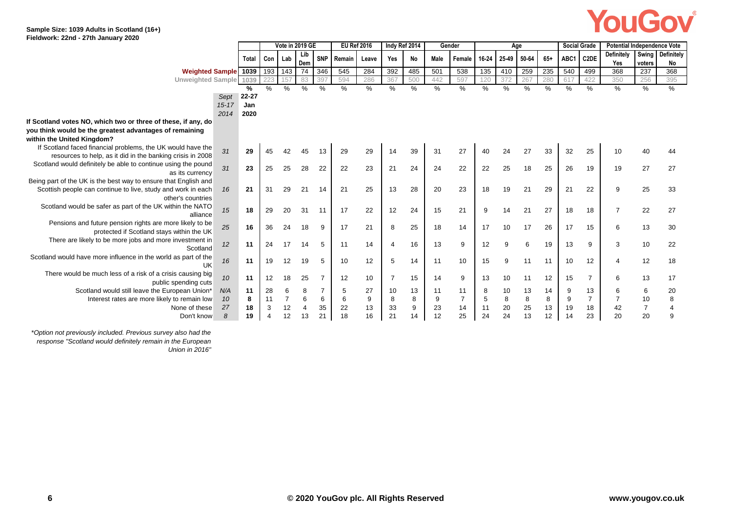### **Sample Size: 1039 Adults in Scotland (16+) Fieldwork: 22nd - 27th January 2020**

|                                                                 |           |       | Vote in 2019 GE |                |                |                | <b>EU Ref 2016</b> |       |                | Indy Ref 2014 |      | Gender         |       | Age   |       |       |      |                   | <b>Potential Independence Vote</b> |                |            |
|-----------------------------------------------------------------|-----------|-------|-----------------|----------------|----------------|----------------|--------------------|-------|----------------|---------------|------|----------------|-------|-------|-------|-------|------|-------------------|------------------------------------|----------------|------------|
|                                                                 |           | Total | Con Lab         |                | Lib            |                | SNP Remain         | Leave | Yes            | No            | Male | Female         | 16-24 | 25-49 | 50-64 | $65+$ | ABC1 | C <sub>2</sub> DE | Definitely                         | <b>Swing</b>   | Definitely |
|                                                                 |           |       |                 |                | Dem            |                |                    |       |                |               |      |                |       |       |       |       |      |                   | Yes                                | voters         | No         |
| Weighted Sample 1039                                            |           |       | 193 143         |                | 74             | 346            | 545                | 284   | 392            | 485           | 501  | 538            | 135   | 410   | 259   | 235   | 540  | 499               | 368                                | 237            | 368        |
| Unweighted Sample 1039                                          |           |       | 223             | 157            | 83             | 397            | 594                | 286   | 367            | 500           | 442  | 597            | 120   | 372   | 267   | 280   | 617  | 422               | 350                                | 256            | 395        |
|                                                                 |           | ℅     | %               | %              | %              | $\%$           | %                  | %     | $\%$           | $\%$          | %    | $\frac{0}{0}$  | %     | $\%$  | %     | $\%$  | $\%$ | %                 | %                                  | %              | $\%$       |
|                                                                 | Sept      | 22-27 |                 |                |                |                |                    |       |                |               |      |                |       |       |       |       |      |                   |                                    |                |            |
|                                                                 | $15 - 17$ | Jan   |                 |                |                |                |                    |       |                |               |      |                |       |       |       |       |      |                   |                                    |                |            |
|                                                                 | 2014      | 2020  |                 |                |                |                |                    |       |                |               |      |                |       |       |       |       |      |                   |                                    |                |            |
| If Scotland votes NO, which two or three of these, if any, do   |           |       |                 |                |                |                |                    |       |                |               |      |                |       |       |       |       |      |                   |                                    |                |            |
| you think would be the greatest advantages of remaining         |           |       |                 |                |                |                |                    |       |                |               |      |                |       |       |       |       |      |                   |                                    |                |            |
| within the United Kingdom?                                      |           |       |                 |                |                |                |                    |       |                |               |      |                |       |       |       |       |      |                   |                                    |                |            |
| If Scotland faced financial problems, the UK would have the     | 31        | 29    | 45              |                | 45             | 13             | 29                 | 29    | 14             | 39            | 31   | 27             | 40    | 24    | 27    | 33    | 32   | 25                | 10                                 | 40             |            |
| resources to help, as it did in the banking crisis in 2008      |           |       |                 |                |                |                |                    |       |                |               |      |                |       |       |       |       |      |                   |                                    |                |            |
| Scotland would definitely be able to continue using the pound   | 31        | 23    | 25              | 25             | 28             | 22             | 22                 | 23    | 21             | 24            | 24   | 22             | 22    | 25    | 18    | 25    | 26   | 19                | 19                                 | 27             | 27         |
| as its currency                                                 |           |       |                 |                |                |                |                    |       |                |               |      |                |       |       |       |       |      |                   |                                    |                |            |
| Being part of the UK is the best way to ensure that English and |           |       |                 |                |                |                |                    |       |                |               |      |                |       |       |       |       |      |                   |                                    |                |            |
| Scottish people can continue to live, study and work in each    | 16        | 21    | 31              | 29             | 21             | 14             | 21                 | 25    | 13             | 28            | 20   | 23             | 18    | 19    | 21    | 29    | 21   | 22                | 9                                  | 25             | 33         |
| other's countries                                               |           |       |                 |                |                |                |                    |       |                |               |      |                |       |       |       |       |      |                   |                                    |                |            |
| Scotland would be safer as part of the UK within the NATO       | 15        | 18    | 29              | 20             | 31             | 11             | 17                 | 22    | 12             | 24            | 15   | 21             | 9     | 14    | 21    | 27    | 18   | 18                | $\overline{7}$                     | 22             | 27         |
| alliance                                                        |           |       |                 |                |                |                |                    |       |                |               |      |                |       |       |       |       |      |                   |                                    |                |            |
| Pensions and future pension rights are more likely to be        | 25        | 16    | 36              | 24             | 18             | 9              | 17                 | 21    | 8              | 25            | 18   | 14             | 17    | 10    | 17    | 26    | 17   | 15                | 6                                  | 13             | 30         |
| protected if Scotland stays within the UK                       |           |       |                 |                |                |                |                    |       |                |               |      |                |       |       |       |       |      |                   |                                    |                |            |
| There are likely to be more jobs and more investment in         | 12        | 11    | 24              | 17             | 14             | 5              | 11                 | 14    | $\overline{4}$ | 16            | 13   | 9              | 12    | 9     | 6     | 19    | 13   | 9                 | 3                                  | 10             | 22         |
| Scotland                                                        |           |       |                 |                |                |                |                    |       |                |               |      |                |       |       |       |       |      |                   |                                    |                |            |
| Scotland would have more influence in the world as part of the  | 16        | 11    | 19              | 12             | 19             | 5              | 10                 | 12    | 5              | 14            | 11   | 10             | 15    | 9     | 11    | 11    | 10   | 12                |                                    | 12             | 18         |
| UK                                                              |           |       |                 |                |                |                |                    |       |                |               |      |                |       |       |       |       |      |                   |                                    |                |            |
| There would be much less of a risk of a crisis causing big      | 10        | 11    | 12              | 18             | 25             | $\overline{7}$ | 12                 | 10    | $\overline{7}$ | 15            | 14   | 9              | 13    | 10    | 11    | 12    | 15   | $\overline{7}$    | 6                                  | 13             | 17         |
| public spending cuts                                            |           |       |                 |                |                |                |                    |       |                |               |      |                |       |       |       |       |      |                   |                                    |                |            |
| Scotland would still leave the European Union*                  | N/A       | 11    | 28              | 6              | 8              | $\overline{7}$ | 5                  | 27    | 10             | 13            | 11   | 11             |       | 10    | 13    | 14    | 9    | 13                | 6                                  | 6              | 20         |
| Interest rates are more likely to remain low                    | 10        | 8     | 11              | $\overline{7}$ | 6              | 6              | 6                  | 9     | 8              | 8             | 9    | $\overline{7}$ | 5     | 8     | 8     | 8     | 9    | $\overline{7}$    |                                    | 10             | 8          |
| None of these                                                   | 27        | 18    | 3               | 12             | $\overline{4}$ | 35             | 22                 | 13    | 33             | 9             | 23   | 14             | 11    | 20    | 25    | 13    | 19   | 18                | 42                                 | $\overline{7}$ |            |
| Don't know                                                      | 8         | 19    | $\overline{4}$  | 12             | 13             | 21             | 18                 | 16    | 21             | 14            | 12   | 25             | 24    | 24    | 13    | 12    | 14   | 23                | 20                                 | 20             |            |
|                                                                 |           |       |                 |                |                |                |                    |       |                |               |      |                |       |       |       |       |      |                   |                                    |                |            |

*\*Option not previously included. Previous survey also had the response "Scotland would definitely remain in the European Union in 2016"*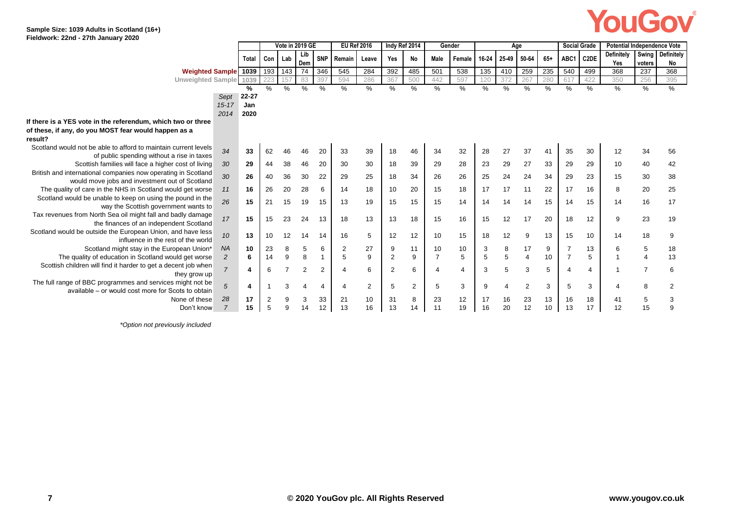### **Sample Size: 1039 Adults in Scotland (16+) Fieldwork: 22nd - 27th January 2020**

|                                                                 |                |       | Vote in 2019 GE |                |                | <b>EU Ref 2016</b> |        | Indy Ref 2014  |                | Gender         |                |                |       | Age   |                | <b>Social Grade</b> |      | <b>Potential Independence Vote</b> |                   |                |                   |
|-----------------------------------------------------------------|----------------|-------|-----------------|----------------|----------------|--------------------|--------|----------------|----------------|----------------|----------------|----------------|-------|-------|----------------|---------------------|------|------------------------------------|-------------------|----------------|-------------------|
|                                                                 |                | Total | Con Lab         |                | Lib            | <b>SNP</b>         | Remain | Leave          | Yes            | No             | <b>Male</b>    | Female         | 16-24 | 25-49 | 50-64          | $65+$               | ABC1 | C <sub>2</sub> DE                  | <b>Definitely</b> | <b>Swing</b>   | <b>Definitely</b> |
|                                                                 |                |       |                 |                | Dem            |                    |        |                |                |                |                |                |       |       |                |                     |      |                                    | Yes               | voters         | No                |
| Weighted Sample 1039   193                                      |                |       |                 | 143            | 74             | 346                | 545    | 284            | 392            | 485            | 501            | 538            | 135   | 410   | 259            | 235                 | 540  | 499                                | 368               | 237            | 368               |
| Unweighted Sample 1039                                          |                |       |                 | 15             | 83             | 397                | 594    | 286            | 367            | 500            | 442            | 597            | 120   | 372   | 267            | 280                 | 61   | 422                                | 350               | 256            | 395               |
|                                                                 |                | %     | %               | $\%$           | %              | %                  | $\%$   | %              | %              | %              | %              | $\%$           | $\%$  | %     | %              | %                   | %    | %                                  | $\%$              | %              | %                 |
|                                                                 | Sept           | 22-27 |                 |                |                |                    |        |                |                |                |                |                |       |       |                |                     |      |                                    |                   |                |                   |
|                                                                 | $15 - 17$      | Jan   |                 |                |                |                    |        |                |                |                |                |                |       |       |                |                     |      |                                    |                   |                |                   |
| If there is a YES vote in the referendum, which two or three    | 2014           | 2020  |                 |                |                |                    |        |                |                |                |                |                |       |       |                |                     |      |                                    |                   |                |                   |
|                                                                 |                |       |                 |                |                |                    |        |                |                |                |                |                |       |       |                |                     |      |                                    |                   |                |                   |
| of these, if any, do you MOST fear would happen as a<br>result? |                |       |                 |                |                |                    |        |                |                |                |                |                |       |       |                |                     |      |                                    |                   |                |                   |
| Scotland would not be able to afford to maintain current levels |                |       |                 |                |                |                    |        |                |                |                |                |                |       |       |                |                     |      |                                    |                   |                |                   |
| of public spending without a rise in taxes                      | 34             | 33    | 62              |                |                | 20                 | 33     | 39             | 18             | 46             | 34             | 32             | 28    | 27    | 37             | 41                  | 35   | 30                                 | 12                | 34             | 56                |
| Scottish families will face a higher cost of living             | 30             | 29    | 44              | 38             | 46             | 20                 | 30     | 30             | 18             | 39             | 29             | 28             | 23    | 29    | 27             | 33                  | 29   | 29                                 | 10                | 40             | 42                |
| British and international companies now operating in Scotland   |                |       |                 |                |                |                    |        |                |                |                |                |                |       |       |                |                     |      |                                    |                   |                |                   |
| would move jobs and investment out of Scotland                  | 30             | 26    | 40              | 36             | 30             | 22                 | 29     | 25             | 18             | 34             | 26             | 26             | 25    | 24    | 24             | 34                  | 29   | 23                                 | 15                | 30             | 38                |
| The quality of care in the NHS in Scotland would get worse      | 11             | 16    | 26              | 20             | 28             | 6                  | 14     | 18             | 10             | 20             | 15             | 18             | 17    | 17    | 11             | 22                  | 17   | 16                                 | 8                 | 20             | 25                |
| Scotland would be unable to keep on using the pound in the      |                |       |                 |                |                |                    |        |                |                |                |                |                |       |       |                |                     |      |                                    |                   |                |                   |
| way the Scottish government wants to                            | 26             | 15    | 21              | 15             | 19             | 15                 | 13     | 19             | 15             | 15             | 15             | 14             | 14    | 14    | 14             | 15                  | 14   | 15                                 | 14                | 16             | 17                |
| Tax revenues from North Sea oil might fall and badly damage     |                |       |                 |                |                |                    |        |                |                |                |                |                |       |       |                |                     |      |                                    |                   |                |                   |
| the finances of an independent Scotland                         | 17             | 15    | 15              | 23             | 24             | 13                 | 18     | 13             | 13             | 18             | 15             | 16             | 15    | 12    | 17             | 20                  | 18   | 12                                 | 9                 | 23             | 19                |
| Scotland would be outside the European Union, and have less     |                |       |                 |                |                |                    |        |                |                | 12             |                |                |       |       |                | 13                  |      |                                    |                   |                |                   |
| influence in the rest of the world                              | 10             | 13    | 10              | 12             | 14             | 14                 | 16     | 5              | 12             |                | 10             | 15             | 18    | 12    | 9              |                     | 15   | 10                                 | 14                | 18             | 9                 |
| Scotland might stay in the European Union*                      | <b>NA</b>      | 10    | 23              | 8              | 5              | 6                  | 2      | 27             | 9              | 11             | 10             | 10             | 3     | 8     | 17             | 9                   |      | 13                                 | 6                 | $\,$ 5 $\,$    | 18                |
| The quality of education in Scotland would get worse            | $\overline{c}$ | 6     | 14              | 9              | 8              |                    | 5      | 9              | $\overline{2}$ | 9              | 7              | 5              | 5     | 5     | $\overline{4}$ | 10                  |      | 5                                  |                   | $\overline{4}$ | 13                |
| Scottish children will find it harder to get a decent job when  | $\overline{7}$ | 4     | 6               | $\overline{7}$ | $\overline{2}$ | $\overline{2}$     | 4      | 6              | $\overline{2}$ | 6              | $\overline{4}$ | $\overline{4}$ | 3     | 5     | 3              | 5                   | 4    | 4                                  |                   | $\overline{7}$ | 6                 |
| they grow up                                                    |                |       |                 |                |                |                    |        |                |                |                |                |                |       |       |                |                     |      |                                    |                   |                |                   |
| The full range of BBC programmes and services might not be      | 5              | 4     |                 | 3              |                | 4                  | 4      | $\overline{2}$ | 5              | $\overline{2}$ | 5              | 3              | 9     | 4     | $\overline{2}$ | 3                   | 5    | 3                                  |                   | 8              | $\overline{2}$    |
| available – or would cost more for Scots to obtain              |                |       |                 |                |                |                    |        |                |                |                |                |                |       |       |                |                     |      |                                    |                   |                |                   |
| None of these                                                   | 28             | 17    | $\overline{2}$  | 9              | 3              | 33                 | 21     | 10             | 31             | 8              | 23             | 12             | 17    | 16    | 23             | 13                  | 16   | 18                                 | 41                | 5              | 3                 |
| Don't know                                                      | 7              | 15    | 5               | 9              | 14             | 12                 | 13     | 16             | 13             | 14             | 11             | 19             | 16    | 20    | 12             | 10                  | 13   | 17                                 | 12                | 15             | 9                 |

*\*Option not previously included*